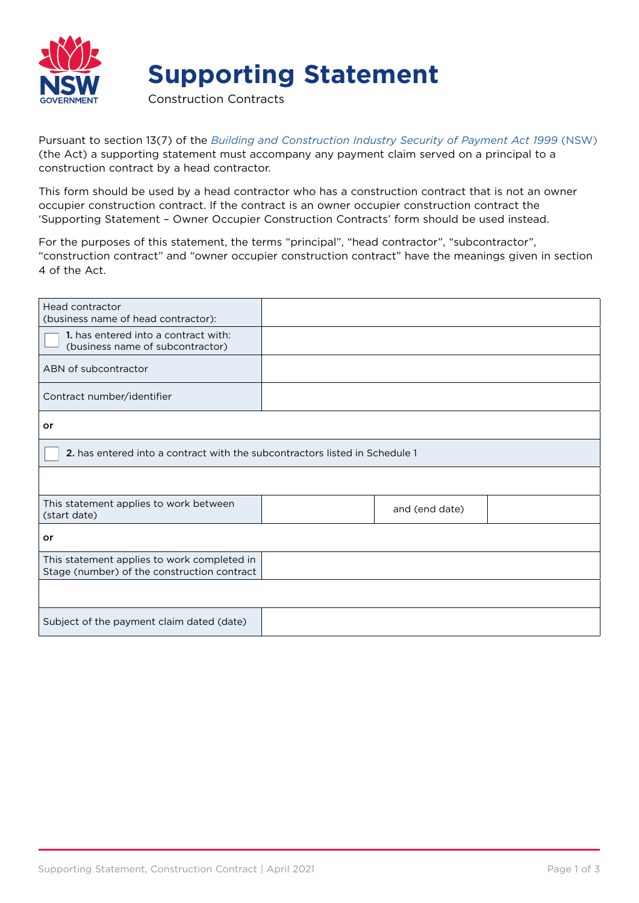

## **Supporting Statement**

Construction Contracts

Pursuant to section 13(7) of the *[Building and Construction Industry Security of Payment Act 1999](https://www.legislation.nsw.gov.au/view/html/inforce/current/act-1999-046#statusinformation)* (NSW) (the Act) a supporting statement must accompany any payment claim served on a principal to a construction contract by a head contractor.

This form should be used by a head contractor who has a construction contract that is not an owner occupier construction contract. If the contract is an owner occupier construction contract the 'Supporting Statement – Owner Occupier Construction Contracts' form should be used instead.

For the purposes of this statement, the terms "principal", "head contractor", "subcontractor", "construction contract" and "owner occupier construction contract" have the meanings given in section 4 of the Act.

| Head contractor<br>(business name of head contractor):                                     |  |                |  |  |  |
|--------------------------------------------------------------------------------------------|--|----------------|--|--|--|
| 1. has entered into a contract with:<br>(business name of subcontractor)                   |  |                |  |  |  |
| ABN of subcontractor                                                                       |  |                |  |  |  |
| Contract number/identifier                                                                 |  |                |  |  |  |
| or                                                                                         |  |                |  |  |  |
| 2. has entered into a contract with the subcontractors listed in Schedule 1                |  |                |  |  |  |
|                                                                                            |  |                |  |  |  |
| This statement applies to work between<br>(start date)                                     |  | and (end date) |  |  |  |
| or                                                                                         |  |                |  |  |  |
| This statement applies to work completed in<br>Stage (number) of the construction contract |  |                |  |  |  |
|                                                                                            |  |                |  |  |  |
| Subject of the payment claim dated (date)                                                  |  |                |  |  |  |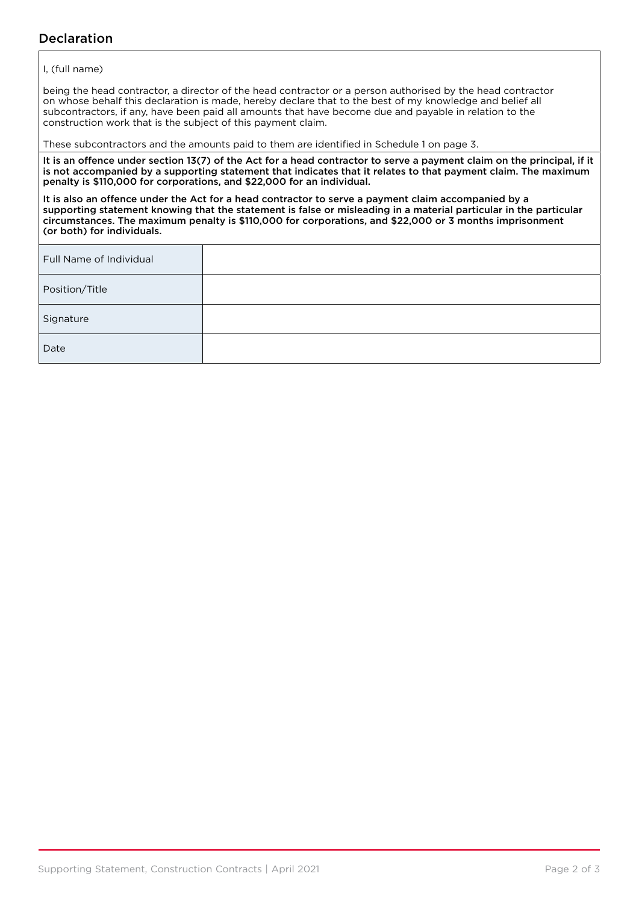## Declaration

## I, (full name)

being the head contractor, a director of the head contractor or a person authorised by the head contractor on whose behalf this declaration is made, hereby declare that to the best of my knowledge and belief all subcontractors, if any, have been paid all amounts that have become due and payable in relation to the construction work that is the subject of this payment claim.

These subcontractors and the amounts paid to them are identified in Schedule 1 on page 3.

It is an offence under section 13(7) of the Act for a head contractor to serve a payment claim on the principal, if it is not accompanied by a supporting statement that indicates that it relates to that payment claim. The maximum penalty is \$110,000 for corporations, and \$22,000 for an individual.

It is also an offence under the Act for a head contractor to serve a payment claim accompanied by a supporting statement knowing that the statement is false or misleading in a material particular in the particular circumstances. The maximum penalty is \$110,000 for corporations, and \$22,000 or 3 months imprisonment (or both) for individuals.

| Full Name of Individual |  |
|-------------------------|--|
| Position/Title          |  |
| Signature               |  |
| Date                    |  |